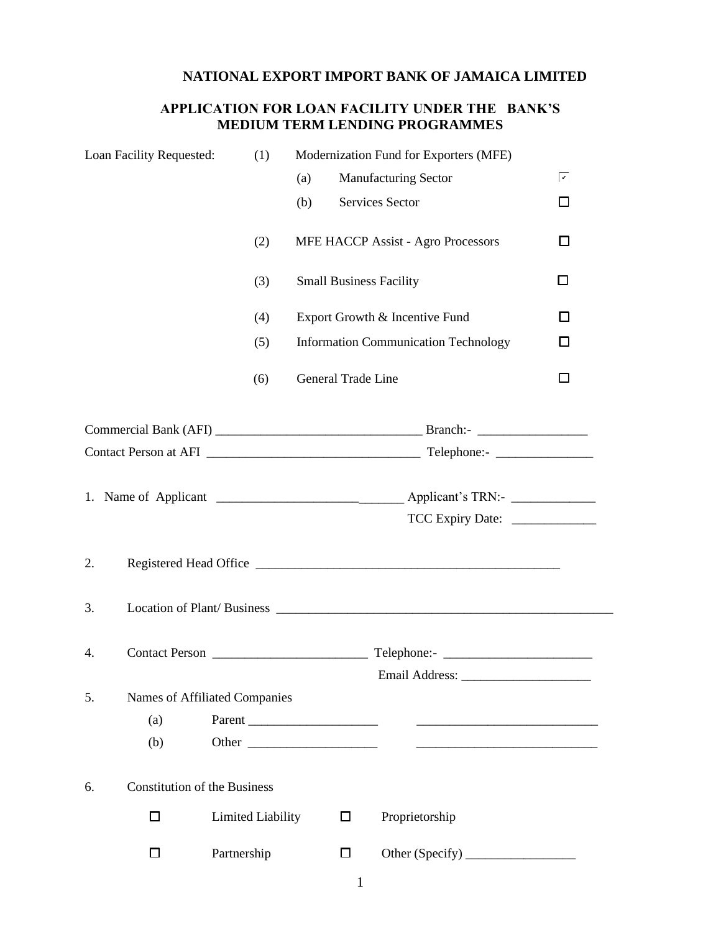## **NATIONAL EXPORT IMPORT BANK OF JAMAICA LIMITED**

## **APPLICATION FOR LOAN FACILITY UNDER THE BANK'S MEDIUM TERM LENDING PROGRAMMES**

|    | Loan Facility Requested:            | (1)                      |                    |        | Modernization Fund for Exporters (MFE)                                                                                                                                                                                         |   |
|----|-------------------------------------|--------------------------|--------------------|--------|--------------------------------------------------------------------------------------------------------------------------------------------------------------------------------------------------------------------------------|---|
|    |                                     |                          | (a)                |        | <b>Manufacturing Sector</b>                                                                                                                                                                                                    | ☑ |
|    |                                     |                          | (b)                |        | Services Sector                                                                                                                                                                                                                | П |
|    |                                     | (2)                      |                    |        | <b>MFE HACCP Assist - Agro Processors</b>                                                                                                                                                                                      | □ |
|    |                                     | (3)                      |                    |        | <b>Small Business Facility</b>                                                                                                                                                                                                 | □ |
|    |                                     | (4)                      |                    |        | Export Growth & Incentive Fund                                                                                                                                                                                                 | П |
|    |                                     | (5)                      |                    |        | <b>Information Communication Technology</b>                                                                                                                                                                                    | □ |
|    |                                     | (6)                      | General Trade Line |        |                                                                                                                                                                                                                                | □ |
|    |                                     |                          |                    |        |                                                                                                                                                                                                                                |   |
|    |                                     |                          |                    |        |                                                                                                                                                                                                                                |   |
|    |                                     |                          |                    |        |                                                                                                                                                                                                                                |   |
|    |                                     |                          |                    |        |                                                                                                                                                                                                                                |   |
| 2. |                                     |                          |                    |        |                                                                                                                                                                                                                                |   |
| 3. |                                     |                          |                    |        | Location of Plant/Business Location Contract and Security and Security and Security and Security and Security and Security and Security and Security and Security and Security and Security and Security and Security and Secu |   |
| 4. |                                     |                          |                    |        |                                                                                                                                                                                                                                |   |
|    |                                     |                          |                    |        |                                                                                                                                                                                                                                |   |
| 5. | Names of Affiliated Companies       |                          |                    |        |                                                                                                                                                                                                                                |   |
|    | (a)<br>(b)                          | Parent                   |                    |        | <u> 1980 - Jan James James Barnett, fransk politik (</u>                                                                                                                                                                       |   |
|    |                                     |                          |                    |        |                                                                                                                                                                                                                                |   |
| 6. | <b>Constitution of the Business</b> |                          |                    |        |                                                                                                                                                                                                                                |   |
|    | □                                   | <b>Limited Liability</b> |                    | □      | Proprietorship                                                                                                                                                                                                                 |   |
|    | l I                                 | Partnership              |                    | $\Box$ |                                                                                                                                                                                                                                |   |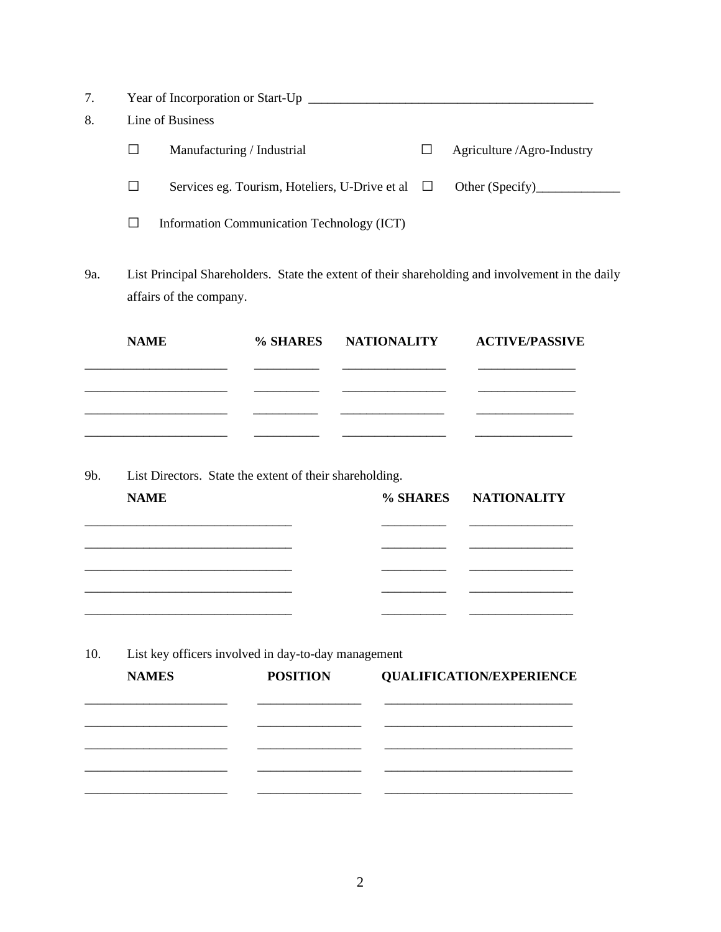| 7. | Year of Incorporation or Start-Up |                                                       |  |                            |  |  |  |  |  |
|----|-----------------------------------|-------------------------------------------------------|--|----------------------------|--|--|--|--|--|
| 8. |                                   | Line of Business                                      |  |                            |  |  |  |  |  |
|    |                                   | Manufacturing / Industrial                            |  | Agriculture /Agro-Industry |  |  |  |  |  |
|    |                                   | Services eg. Tourism, Hoteliers, U-Drive et al $\Box$ |  | Other (Specify)            |  |  |  |  |  |
|    |                                   | Information Communication Technology (ICT)            |  |                            |  |  |  |  |  |

9a. List Principal Shareholders. State the extent of their shareholding and involvement in the daily affairs of the company.

| <b>NAME</b> | % SHARES NATIONALITY ACTIVE/PASSIVE |  |
|-------------|-------------------------------------|--|
|             |                                     |  |
|             |                                     |  |
|             |                                     |  |
|             |                                     |  |

9b. List Directors. State the extent of their shareholding.

| <b>NAME</b> |  | % SHARES NATIONALITY |
|-------------|--|----------------------|
|             |  |                      |
|             |  |                      |
|             |  |                      |
|             |  |                      |
|             |  |                      |

- **NAMES POSITION QUALIFICATION/EXPERIENCE** \_\_\_\_\_\_\_\_\_\_\_\_\_\_\_\_\_\_\_\_\_\_ \_\_\_\_\_\_\_\_\_\_\_\_\_\_\_\_ \_\_\_\_\_\_\_\_\_\_\_\_\_\_\_\_\_\_\_\_\_\_\_\_\_\_\_\_\_ \_\_\_\_\_\_\_\_\_\_\_\_\_\_\_\_\_\_\_\_\_\_ \_\_\_\_\_\_\_\_\_\_\_\_\_\_\_\_ \_\_\_\_\_\_\_\_\_\_\_\_\_\_\_\_\_\_\_\_\_\_\_\_\_\_\_\_\_ \_\_\_\_\_\_\_\_\_\_\_\_\_\_\_\_\_\_\_\_\_\_ \_\_\_\_\_\_\_\_\_\_\_\_\_\_\_\_ \_\_\_\_\_\_\_\_\_\_\_\_\_\_\_\_\_\_\_\_\_\_\_\_\_\_\_\_\_ \_\_\_\_\_\_\_\_\_\_\_\_\_\_\_\_\_\_\_\_\_\_ \_\_\_\_\_\_\_\_\_\_\_\_\_\_\_\_ \_\_\_\_\_\_\_\_\_\_\_\_\_\_\_\_\_\_\_\_\_\_\_\_\_\_\_\_\_
- 10. List key officers involved in day-to-day management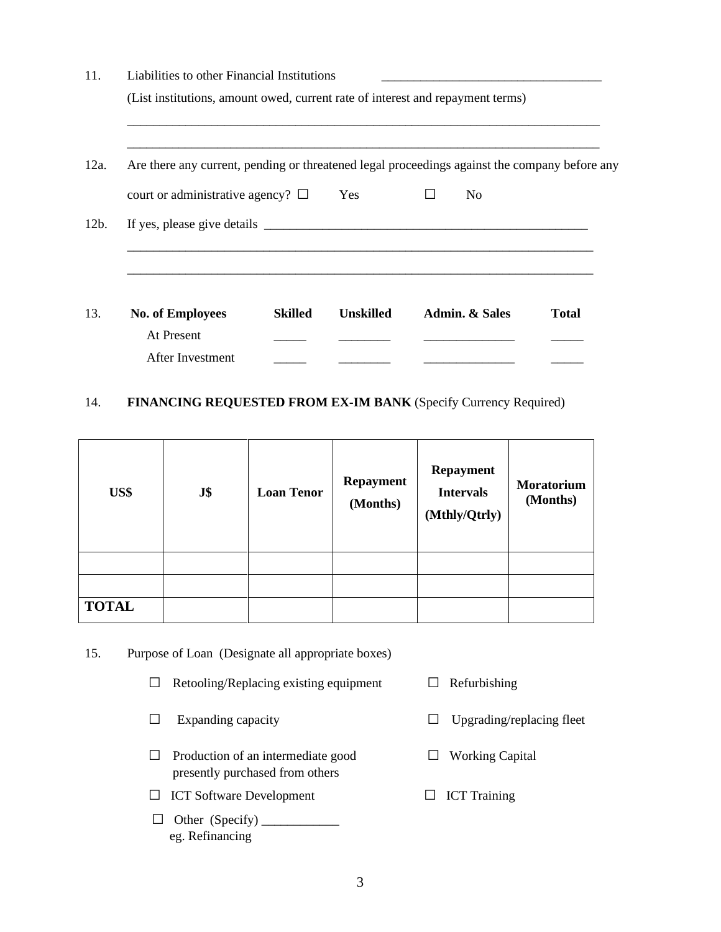| Are there any current, pending or threatened legal proceedings against the company before any |     |                                |  |
|-----------------------------------------------------------------------------------------------|-----|--------------------------------|--|
| court or administrative agency? $\Box$                                                        | Yes | N <sub>0</sub><br>$\mathsf{L}$ |  |
|                                                                                               |     |                                |  |
|                                                                                               |     |                                |  |

## 14. **FINANCING REQUESTED FROM EX-IM BANK** (Specify Currency Required)

| US\$         | J\$ | <b>Loan Tenor</b> | <b>Repayment</b><br>(Months) | <b>Repayment</b><br><b>Intervals</b><br>(Mthly/Qtrly) | <b>Moratorium</b><br>(Months) |
|--------------|-----|-------------------|------------------------------|-------------------------------------------------------|-------------------------------|
|              |     |                   |                              |                                                       |                               |
|              |     |                   |                              |                                                       |                               |
| <b>TOTAL</b> |     |                   |                              |                                                       |                               |

#### 15. Purpose of Loan (Designate all appropriate boxes)

- □ Retooling/Replacing existing equipment □ Refurbishing
- 
- □ Production of an intermediate good □ Working Capital presently purchased from others
- □ ICT Software Development □ ICT Training
- □ Other (Specify) \_\_\_\_\_\_\_\_\_\_\_\_ eg. Refinancing
- 
- □ Expanding capacity □ Upgrading/replacing fleet
	-
	-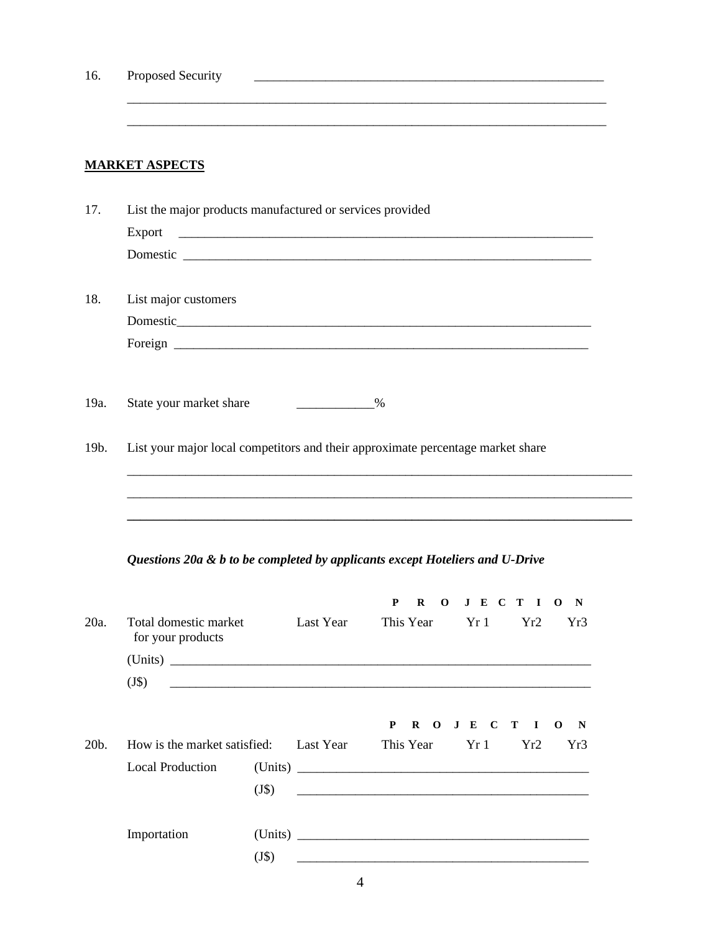| 16.  | Proposed Security                                                               |         |                             |                                                                                                                      |             |     |                             |
|------|---------------------------------------------------------------------------------|---------|-----------------------------|----------------------------------------------------------------------------------------------------------------------|-------------|-----|-----------------------------|
|      | <b>MARKET ASPECTS</b>                                                           |         |                             |                                                                                                                      |             |     |                             |
| 17.  | List the major products manufactured or services provided                       |         |                             |                                                                                                                      |             |     |                             |
|      | Export                                                                          |         |                             |                                                                                                                      |             |     |                             |
|      |                                                                                 |         |                             |                                                                                                                      |             |     |                             |
| 18.  | List major customers                                                            |         |                             |                                                                                                                      |             |     |                             |
|      |                                                                                 |         |                             |                                                                                                                      |             |     |                             |
|      |                                                                                 |         |                             |                                                                                                                      |             |     |                             |
| 19a. | State your market share                                                         |         | $\sim$ $\sim$ $\sim$ $\sim$ |                                                                                                                      |             |     |                             |
| 19b. | List your major local competitors and their approximate percentage market share |         |                             |                                                                                                                      |             |     |                             |
|      |                                                                                 |         |                             |                                                                                                                      |             |     |                             |
|      |                                                                                 |         |                             |                                                                                                                      |             |     |                             |
|      | Questions 20a & b to be completed by applicants except Hoteliers and U-Drive    |         |                             |                                                                                                                      |             |     |                             |
|      |                                                                                 |         |                             | P<br>R<br>$\mathbf 0$                                                                                                | J E C T I   |     | $\mathbf{o}$<br>$\mathbf N$ |
| 20a. | Total domestic market<br>for your products                                      |         | Last Year                   | This Year                                                                                                            | Yr1         | Yr2 | Yr3                         |
|      |                                                                                 |         |                             |                                                                                                                      |             |     |                             |
|      | (J\$)                                                                           |         |                             |                                                                                                                      |             |     |                             |
|      |                                                                                 |         |                             | $\mathbf{P}$<br>$\mathbf{R}$                                                                                         | O J E C T I |     | N<br>$\mathbf{o}$           |
| 20b. | How is the market satisfied:                                                    |         | Last Year                   | This Year                                                                                                            | Yr1         | Yr2 | Yr3                         |
|      | <b>Local Production</b>                                                         |         |                             |                                                                                                                      |             |     |                             |
|      |                                                                                 | $(J\$ ) |                             | <u> 2000 - Jan James James Jan James James Jan James James James James James James James James James James James</u> |             |     |                             |
|      | Importation                                                                     |         |                             |                                                                                                                      |             |     |                             |
|      |                                                                                 | $(J\$ ) |                             |                                                                                                                      |             |     |                             |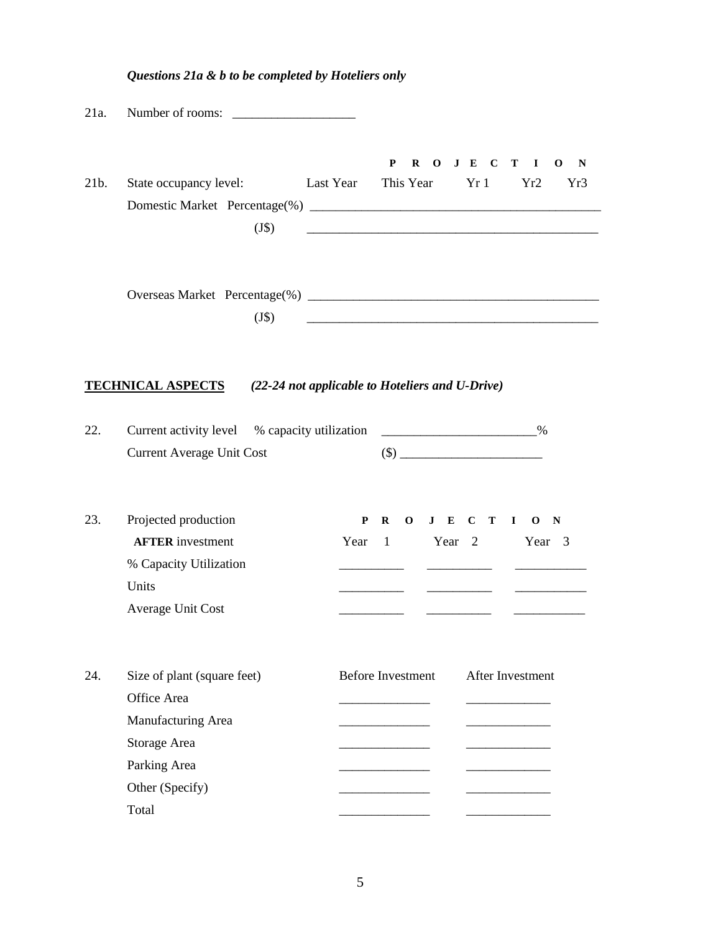| 21a. | Number of rooms:                                                                                                             |                          |                    |         |                  |                                                      |
|------|------------------------------------------------------------------------------------------------------------------------------|--------------------------|--------------------|---------|------------------|------------------------------------------------------|
| 21b. | State occupancy level:<br>$(J\$ )                                                                                            | Last Year This Year      | P                  | ROJECTI | Yr1              | $\mathbf 0$<br>$\mathbf N$<br>Yr <sub>2</sub><br>Yr3 |
|      | $(J\$ )                                                                                                                      |                          |                    |         |                  |                                                      |
|      | <b>TECHNICAL ASPECTS</b><br>(22-24 not applicable to Hoteliers and U-Drive)                                                  |                          |                    |         |                  |                                                      |
| 22.  | Current activity level % capacity utilization<br><b>Current Average Unit Cost</b>                                            |                          |                    |         |                  |                                                      |
| 23.  | Projected production<br><b>AFTER</b> investment<br>% Capacity Utilization<br>Units<br><b>Average Unit Cost</b>               | P<br>Year                | $\mathbf{R}$<br>-1 | Year 2  | ________________ | $0$ J E C T I O N<br>Year <sub>3</sub>               |
| 24.  | Size of plant (square feet)<br>Office Area<br>Manufacturing Area<br>Storage Area<br>Parking Area<br>Other (Specify)<br>Total | <b>Before Investment</b> |                    |         |                  | <b>After Investment</b>                              |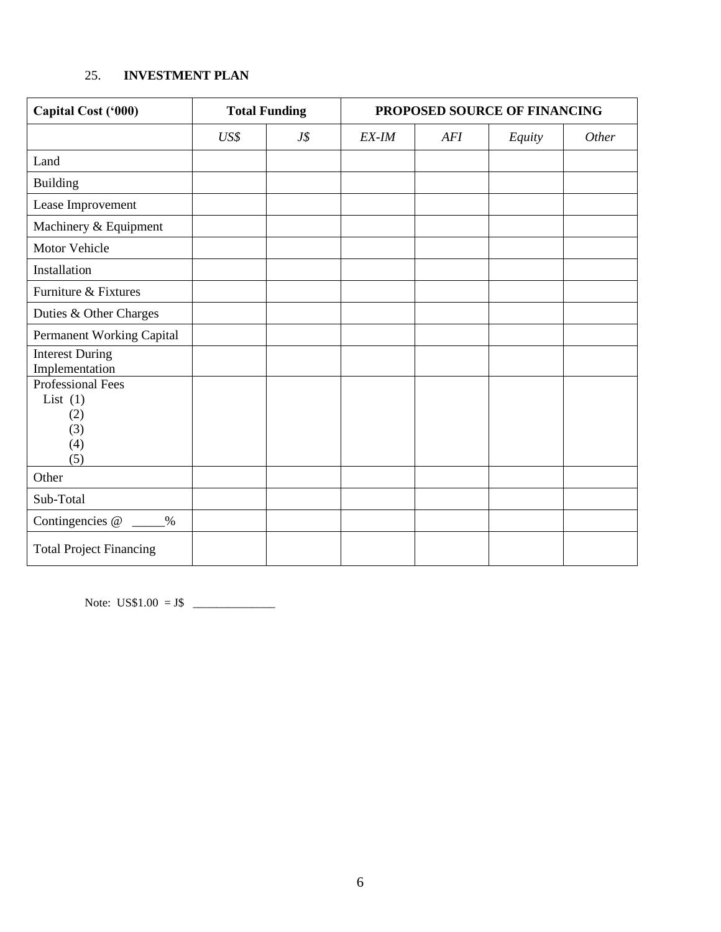## 25. **INVESTMENT PLAN**

| Capital Cost ('000)                                                | <b>Total Funding</b> |     | PROPOSED SOURCE OF FINANCING |     |        |       |
|--------------------------------------------------------------------|----------------------|-----|------------------------------|-----|--------|-------|
|                                                                    | US\$                 | J\$ | EX-IM                        | AFI | Equity | Other |
| Land                                                               |                      |     |                              |     |        |       |
| <b>Building</b>                                                    |                      |     |                              |     |        |       |
| Lease Improvement                                                  |                      |     |                              |     |        |       |
| Machinery & Equipment                                              |                      |     |                              |     |        |       |
| Motor Vehicle                                                      |                      |     |                              |     |        |       |
| Installation                                                       |                      |     |                              |     |        |       |
| Furniture & Fixtures                                               |                      |     |                              |     |        |       |
| Duties & Other Charges                                             |                      |     |                              |     |        |       |
| Permanent Working Capital                                          |                      |     |                              |     |        |       |
| <b>Interest During</b><br>Implementation                           |                      |     |                              |     |        |       |
| <b>Professional Fees</b><br>List $(1)$<br>(2)<br>(3)<br>(4)<br>(5) |                      |     |                              |     |        |       |
| Other                                                              |                      |     |                              |     |        |       |
| Sub-Total                                                          |                      |     |                              |     |        |       |
| Contingencies @<br>$\%$                                            |                      |     |                              |     |        |       |
| <b>Total Project Financing</b>                                     |                      |     |                              |     |        |       |

Note: US\$1.00 = J\$ \_\_\_\_\_\_\_\_\_\_\_\_\_\_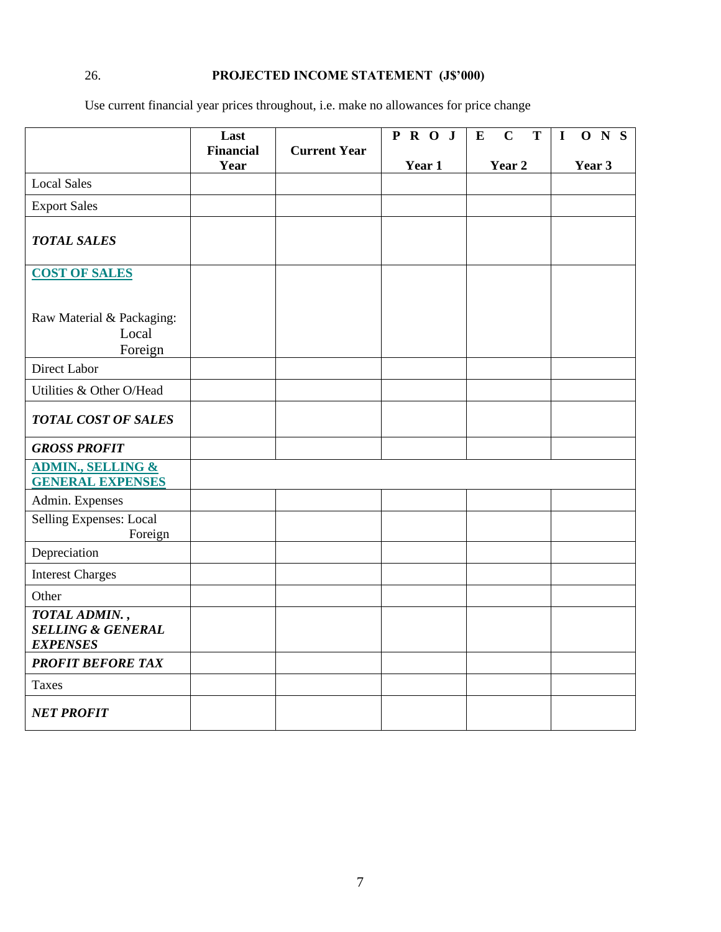# 26. **PROJECTED INCOME STATEMENT (J\$'000)**

Use current financial year prices throughout, i.e. make no allowances for price change

|                                                                  | Last                     |                     | $P$ R O J | $\overline{T}$<br>E<br>$\mathbf C$ | $\overline{O}$ N $\overline{S}$<br>$\mathbf I$ |
|------------------------------------------------------------------|--------------------------|---------------------|-----------|------------------------------------|------------------------------------------------|
|                                                                  | <b>Financial</b><br>Year | <b>Current Year</b> | Year 1    | Year 2                             | Year 3                                         |
| <b>Local Sales</b>                                               |                          |                     |           |                                    |                                                |
| <b>Export Sales</b>                                              |                          |                     |           |                                    |                                                |
| <b>TOTAL SALES</b>                                               |                          |                     |           |                                    |                                                |
| <b>COST OF SALES</b>                                             |                          |                     |           |                                    |                                                |
| Raw Material & Packaging:<br>Local<br>Foreign                    |                          |                     |           |                                    |                                                |
| Direct Labor                                                     |                          |                     |           |                                    |                                                |
| Utilities & Other O/Head                                         |                          |                     |           |                                    |                                                |
| <b>TOTAL COST OF SALES</b>                                       |                          |                     |           |                                    |                                                |
| <b>GROSS PROFIT</b>                                              |                          |                     |           |                                    |                                                |
| <b>ADMIN., SELLING &amp;</b><br><b>GENERAL EXPENSES</b>          |                          |                     |           |                                    |                                                |
| Admin. Expenses                                                  |                          |                     |           |                                    |                                                |
| Selling Expenses: Local<br>Foreign                               |                          |                     |           |                                    |                                                |
| Depreciation                                                     |                          |                     |           |                                    |                                                |
| <b>Interest Charges</b>                                          |                          |                     |           |                                    |                                                |
| Other                                                            |                          |                     |           |                                    |                                                |
| TOTAL ADMIN.,<br><b>SELLING &amp; GENERAL</b><br><b>EXPENSES</b> |                          |                     |           |                                    |                                                |
| <b>PROFIT BEFORE TAX</b>                                         |                          |                     |           |                                    |                                                |
| <b>Taxes</b>                                                     |                          |                     |           |                                    |                                                |
| <b>NET PROFIT</b>                                                |                          |                     |           |                                    |                                                |